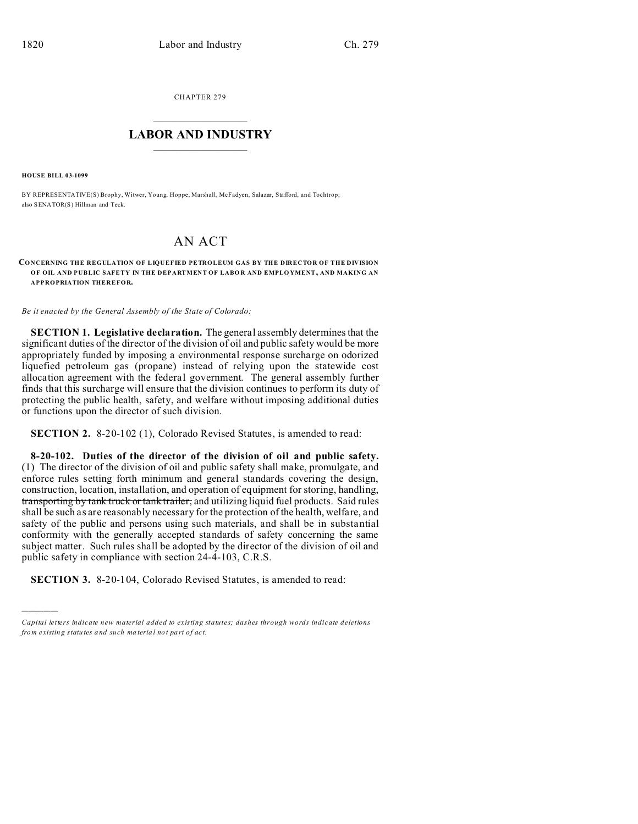CHAPTER 279  $\overline{\phantom{a}}$  , where  $\overline{\phantom{a}}$ 

## **LABOR AND INDUSTRY**  $\frac{1}{\sqrt{2}}$  ,  $\frac{1}{\sqrt{2}}$  ,  $\frac{1}{\sqrt{2}}$  ,  $\frac{1}{\sqrt{2}}$  ,  $\frac{1}{\sqrt{2}}$  ,  $\frac{1}{\sqrt{2}}$

**HOUSE BILL 03-1099**

)))))

BY REPRESENTATIVE(S) Brophy, Witwer, Young, Hoppe, Marshall, McFadyen, Salazar, Stafford, and Tochtrop; also SENATOR(S) Hillman and Teck.

## AN ACT

## **CONCERNING THE REGULATION OF LIQUEFIED PETROLEUM GAS BY THE DIRECTOR OF THE DIVISION OF OIL AND PUBLIC SAFETY IN THE DEPARTMENT OF LABO R AND EMPLO YMENT, AND MAKING AN APPROPRIATION THEREFOR.**

*Be it enacted by the General Assembly of the State of Colorado:*

**SECTION 1. Legislative declaration.** The general assembly determines that the significant duties of the director of the division of oil and public safety would be more appropriately funded by imposing a environmental response surcharge on odorized liquefied petroleum gas (propane) instead of relying upon the statewide cost allocation agreement with the federal government. The general assembly further finds that this surcharge will ensure that the division continues to perform its duty of protecting the public health, safety, and welfare without imposing additional duties or functions upon the director of such division.

**SECTION 2.** 8-20-102 (1), Colorado Revised Statutes, is amended to read:

**8-20-102. Duties of the director of the division of oil and public safety.** (1) The director of the division of oil and public safety shall make, promulgate, and enforce rules setting forth minimum and general standards covering the design, construction, location, installation, and operation of equipment for storing, handling, transporting by tank truck or tank trailer, and utilizing liquid fuel products. Said rules shall be such as are reasonably necessary for the protection of the health, welfare, and safety of the public and persons using such materials, and shall be in substantial conformity with the generally accepted standards of safety concerning the same subject matter. Such rules shall be adopted by the director of the division of oil and public safety in compliance with section 24-4-103, C.R.S.

**SECTION 3.** 8-20-104, Colorado Revised Statutes, is amended to read:

*Capital letters indicate new material added to existing statutes; dashes through words indicate deletions from e xistin g statu tes a nd such ma teria l no t pa rt of ac t.*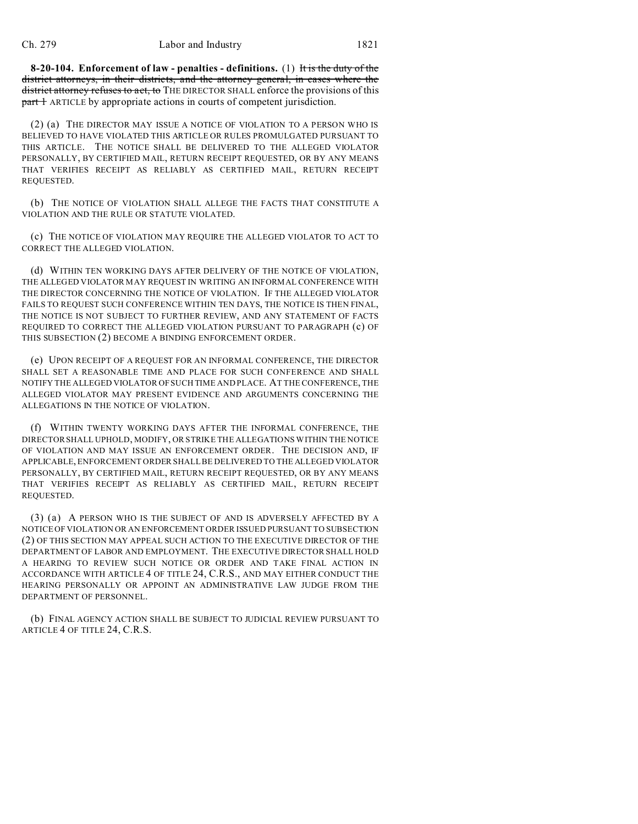**8-20-104. Enforcement of law - penalties - definitions.** (1) It is the duty of the district attorneys, in their districts, and the attorney general, in cases where the district attorney refuses to act, to THE DIRECTOR SHALL enforce the provisions of this **part 1** ARTICLE by appropriate actions in courts of competent jurisdiction.

(2) (a) THE DIRECTOR MAY ISSUE A NOTICE OF VIOLATION TO A PERSON WHO IS BELIEVED TO HAVE VIOLATED THIS ARTICLE OR RULES PROMULGATED PURSUANT TO THIS ARTICLE. THE NOTICE SHALL BE DELIVERED TO THE ALLEGED VIOLATOR PERSONALLY, BY CERTIFIED MAIL, RETURN RECEIPT REQUESTED, OR BY ANY MEANS THAT VERIFIES RECEIPT AS RELIABLY AS CERTIFIED MAIL, RETURN RECEIPT REQUESTED.

(b) THE NOTICE OF VIOLATION SHALL ALLEGE THE FACTS THAT CONSTITUTE A VIOLATION AND THE RULE OR STATUTE VIOLATED.

(c) THE NOTICE OF VIOLATION MAY REQUIRE THE ALLEGED VIOLATOR TO ACT TO CORRECT THE ALLEGED VIOLATION.

(d) WITHIN TEN WORKING DAYS AFTER DELIVERY OF THE NOTICE OF VIOLATION, THE ALLEGED VIOLATOR MAY REQUEST IN WRITING AN INFORMAL CONFERENCE WITH THE DIRECTOR CONCERNING THE NOTICE OF VIOLATION. IF THE ALLEGED VIOLATOR FAILS TO REQUEST SUCH CONFERENCE WITHIN TEN DAYS, THE NOTICE IS THEN FINAL, THE NOTICE IS NOT SUBJECT TO FURTHER REVIEW, AND ANY STATEMENT OF FACTS REQUIRED TO CORRECT THE ALLEGED VIOLATION PURSUANT TO PARAGRAPH (c) OF THIS SUBSECTION (2) BECOME A BINDING ENFORCEMENT ORDER.

(e) UPON RECEIPT OF A REQUEST FOR AN INFORMAL CONFERENCE, THE DIRECTOR SHALL SET A REASONABLE TIME AND PLACE FOR SUCH CONFERENCE AND SHALL NOTIFY THE ALLEGED VIOLATOR OF SUCH TIME AND PLACE. AT THE CONFERENCE, THE ALLEGED VIOLATOR MAY PRESENT EVIDENCE AND ARGUMENTS CONCERNING THE ALLEGATIONS IN THE NOTICE OF VIOLATION.

(f) WITHIN TWENTY WORKING DAYS AFTER THE INFORMAL CONFERENCE, THE DIRECTOR SHALL UPHOLD, MODIFY, OR STRIKE THE ALLEGATIONS WITHIN THE NOTICE OF VIOLATION AND MAY ISSUE AN ENFORCEMENT ORDER. THE DECISION AND, IF APPLICABLE, ENFORCEMENT ORDER SHALL BE DELIVERED TO THE ALLEGED VIOLATOR PERSONALLY, BY CERTIFIED MAIL, RETURN RECEIPT REQUESTED, OR BY ANY MEANS THAT VERIFIES RECEIPT AS RELIABLY AS CERTIFIED MAIL, RETURN RECEIPT REQUESTED.

(3) (a) A PERSON WHO IS THE SUBJECT OF AND IS ADVERSELY AFFECTED BY A NOTICE OF VIOLATION OR AN ENFORCEMENT ORDER ISSUED PURSUANT TO SUBSECTION (2) OF THIS SECTION MAY APPEAL SUCH ACTION TO THE EXECUTIVE DIRECTOR OF THE DEPARTMENT OF LABOR AND EMPLOYMENT. THE EXECUTIVE DIRECTOR SHALL HOLD A HEARING TO REVIEW SUCH NOTICE OR ORDER AND TAKE FINAL ACTION IN ACCORDANCE WITH ARTICLE 4 OF TITLE 24, C.R.S., AND MAY EITHER CONDUCT THE HEARING PERSONALLY OR APPOINT AN ADMINISTRATIVE LAW JUDGE FROM THE DEPARTMENT OF PERSONNEL.

(b) FINAL AGENCY ACTION SHALL BE SUBJECT TO JUDICIAL REVIEW PURSUANT TO ARTICLE 4 OF TITLE 24, C.R.S.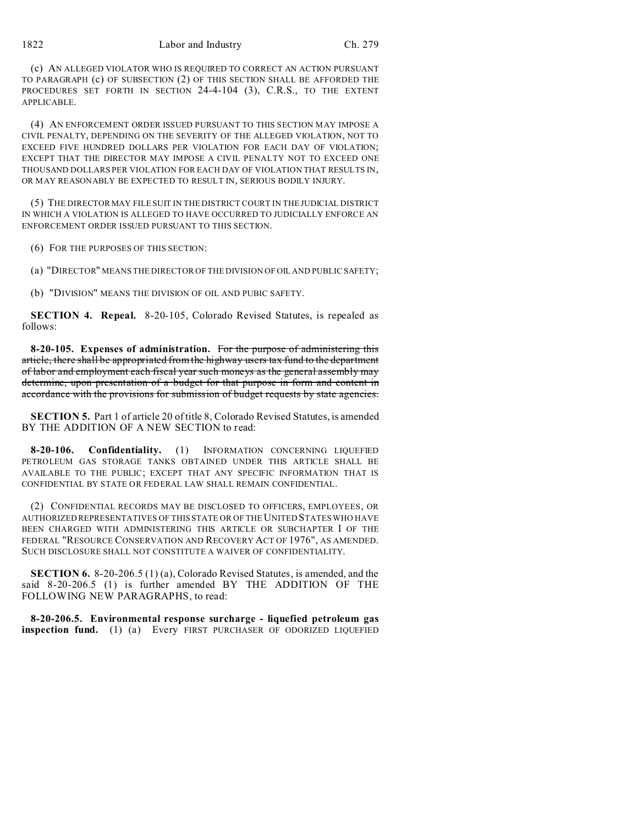(c) AN ALLEGED VIOLATOR WHO IS REQUIRED TO CORRECT AN ACTION PURSUANT TO PARAGRAPH (c) OF SUBSECTION (2) OF THIS SECTION SHALL BE AFFORDED THE PROCEDURES SET FORTH IN SECTION 24-4-104 (3), C.R.S., TO THE EXTENT APPLICABLE.

(4) AN ENFORCEMENT ORDER ISSUED PURSUANT TO THIS SECTION MAY IMPOSE A CIVIL PENALTY, DEPENDING ON THE SEVERITY OF THE ALLEGED VIOLATION, NOT TO EXCEED FIVE HUNDRED DOLLARS PER VIOLATION FOR EACH DAY OF VIOLATION; EXCEPT THAT THE DIRECTOR MAY IMPOSE A CIVIL PENALTY NOT TO EXCEED ONE THOUSAND DOLLARS PER VIOLATION FOR EACH DAY OF VIOLATION THAT RESULTS IN, OR MAY REASONABLY BE EXPECTED TO RESULT IN, SERIOUS BODILY INJURY.

(5) THE DIRECTOR MAY FILE SUIT IN THE DISTRICT COURT IN THE JUDICIAL DISTRICT IN WHICH A VIOLATION IS ALLEGED TO HAVE OCCURRED TO JUDICIALLY ENFORCE AN ENFORCEMENT ORDER ISSUED PURSUANT TO THIS SECTION.

(6) FOR THE PURPOSES OF THIS SECTION:

(a) "DIRECTOR" MEANS THE DIRECTOR OF THE DIVISION OF OIL AND PUBLIC SAFETY;

(b) "DIVISION" MEANS THE DIVISION OF OIL AND PUBIC SAFETY.

**SECTION 4. Repeal.** 8-20-105, Colorado Revised Statutes, is repealed as follows:

**8-20-105. Expenses of administration.** For the purpose of administering this article, there shall be appropriated from the highway users tax fund to the department of labor and employment each fiscal year such moneys as the general assembly may determine, upon presentation of a budget for that purpose in form and content in accordance with the provisions for submission of budget requests by state agencies.

**SECTION 5.** Part 1 of article 20 of title 8, Colorado Revised Statutes, is amended BY THE ADDITION OF A NEW SECTION to read:

**8-20-106. Confidentiality.** (1) INFORMATION CONCERNING LIQUEFIED PETROLEUM GAS STORAGE TANKS OBTAINED UNDER THIS ARTICLE SHALL BE AVAILABLE TO THE PUBLIC; EXCEPT THAT ANY SPECIFIC INFORMATION THAT IS CONFIDENTIAL BY STATE OR FEDERAL LAW SHALL REMAIN CONFIDENTIAL.

(2) CONFIDENTIAL RECORDS MAY BE DISCLOSED TO OFFICERS, EMPLOYEES, OR AUTHORIZED REPRESENTATIVES OF THIS STATE OR OF THE UNITED STATES WHO HAVE BEEN CHARGED WITH ADMINISTERING THIS ARTICLE OR SUBCHAPTER I OF THE FEDERAL "RESOURCE CONSERVATION AND RECOVERY ACT OF 1976", AS AMENDED. SUCH DISCLOSURE SHALL NOT CONSTITUTE A WAIVER OF CONFIDENTIALITY.

**SECTION 6.** 8-20-206.5 (1) (a), Colorado Revised Statutes, is amended, and the said 8-20-206.5 (1) is further amended BY THE ADDITION OF THE FOLLOWING NEW PARAGRAPHS, to read:

**8-20-206.5. Environmental response surcharge - liquefied petroleum gas inspection fund.** (1) (a) Every FIRST PURCHASER OF ODORIZED LIQUEFIED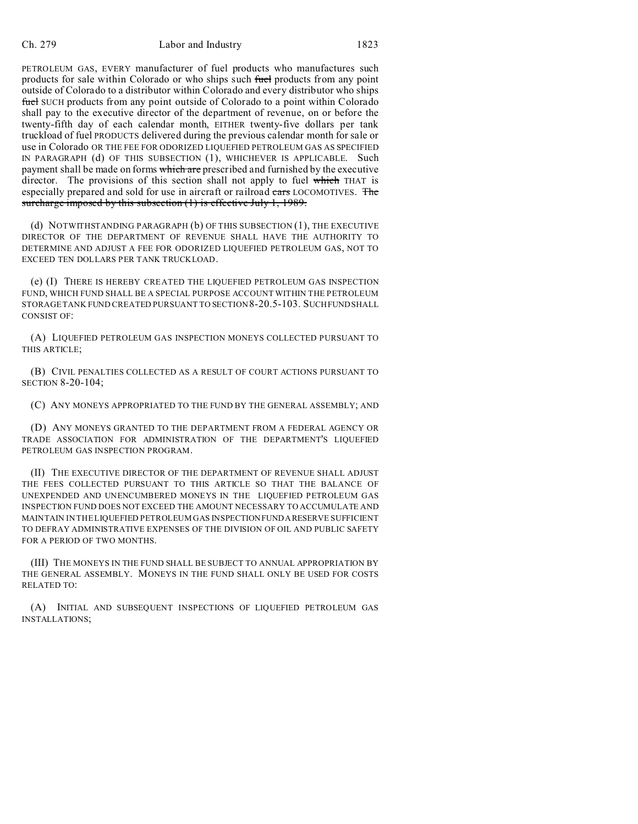PETROLEUM GAS, EVERY manufacturer of fuel products who manufactures such products for sale within Colorado or who ships such fuel products from any point outside of Colorado to a distributor within Colorado and every distributor who ships fuel SUCH products from any point outside of Colorado to a point within Colorado shall pay to the executive director of the department of revenue, on or before the twenty-fifth day of each calendar month, EITHER twenty-five dollars per tank truckload of fuel PRODUCTS delivered during the previous calendar month for sale or use in Colorado OR THE FEE FOR ODORIZED LIQUEFIED PETROLEUM GAS AS SPECIFIED IN PARAGRAPH (d) OF THIS SUBSECTION (1), WHICHEVER IS APPLICABLE. Such payment shall be made on forms which are prescribed and furnished by the executive director. The provisions of this section shall not apply to fuel which THAT is especially prepared and sold for use in aircraft or railroad cars LOCOMOTIVES. The surcharge imposed by this subsection (1) is effective July 1, 1989.

(d) NOTWITHSTANDING PARAGRAPH (b) OF THIS SUBSECTION (1), THE EXECUTIVE DIRECTOR OF THE DEPARTMENT OF REVENUE SHALL HAVE THE AUTHORITY TO DETERMINE AND ADJUST A FEE FOR ODORIZED LIQUEFIED PETROLEUM GAS, NOT TO EXCEED TEN DOLLARS PER TANK TRUCKLOAD.

(e) (I) THERE IS HEREBY CREATED THE LIQUEFIED PETROLEUM GAS INSPECTION FUND, WHICH FUND SHALL BE A SPECIAL PURPOSE ACCOUNT WITHIN THE PETROLEUM STORAGE TANK FUND CREATED PURSUANT TO SECTION 8-20.5-103. SUCHFUND SHALL CONSIST OF:

(A) LIQUEFIED PETROLEUM GAS INSPECTION MONEYS COLLECTED PURSUANT TO THIS ARTICLE;

(B) CIVIL PENALTIES COLLECTED AS A RESULT OF COURT ACTIONS PURSUANT TO SECTION 8-20-104;

(C) ANY MONEYS APPROPRIATED TO THE FUND BY THE GENERAL ASSEMBLY; AND

(D) ANY MONEYS GRANTED TO THE DEPARTMENT FROM A FEDERAL AGENCY OR TRADE ASSOCIATION FOR ADMINISTRATION OF THE DEPARTMENT'S LIQUEFIED PETROLEUM GAS INSPECTION PROGRAM.

(II) THE EXECUTIVE DIRECTOR OF THE DEPARTMENT OF REVENUE SHALL ADJUST THE FEES COLLECTED PURSUANT TO THIS ARTICLE SO THAT THE BALANCE OF UNEXPENDED AND UNENCUMBERED MONEYS IN THE LIQUEFIED PETROLEUM GAS INSPECTION FUND DOES NOT EXCEED THE AMOUNT NECESSARY TO ACCUMULATE AND MAINTAIN IN THE LIQUEFIED PETROLEUM GAS INSPECTIONFUNDARESERVE SUFFICIENT TO DEFRAY ADMINISTRATIVE EXPENSES OF THE DIVISION OF OIL AND PUBLIC SAFETY FOR A PERIOD OF TWO MONTHS.

(III) THE MONEYS IN THE FUND SHALL BE SUBJECT TO ANNUAL APPROPRIATION BY THE GENERAL ASSEMBLY. MONEYS IN THE FUND SHALL ONLY BE USED FOR COSTS RELATED TO:

(A) INITIAL AND SUBSEQUENT INSPECTIONS OF LIQUEFIED PETROLEUM GAS INSTALLATIONS;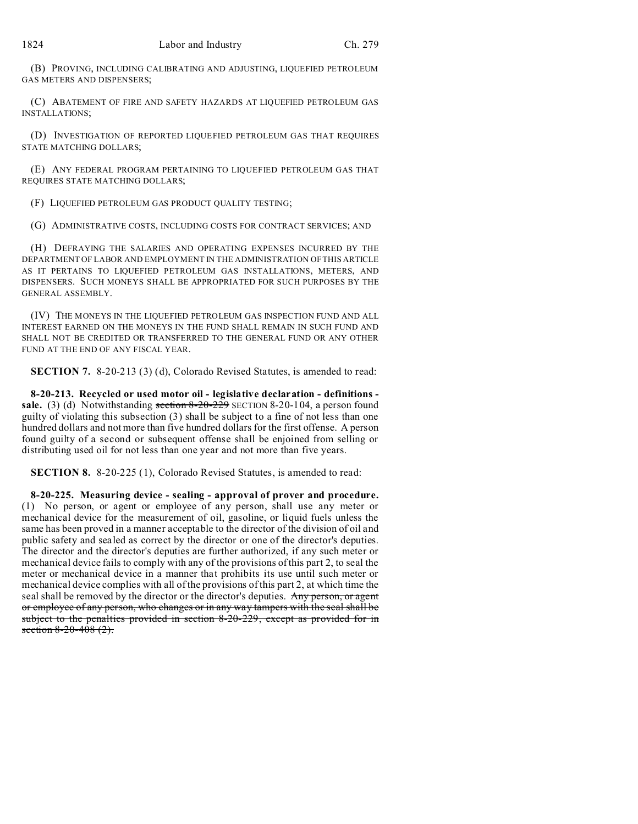(B) PROVING, INCLUDING CALIBRATING AND ADJUSTING, LIQUEFIED PETROLEUM GAS METERS AND DISPENSERS;

(C) ABATEMENT OF FIRE AND SAFETY HAZARDS AT LIQUEFIED PETROLEUM GAS INSTALLATIONS;

(D) INVESTIGATION OF REPORTED LIQUEFIED PETROLEUM GAS THAT REQUIRES STATE MATCHING DOLLARS;

(E) ANY FEDERAL PROGRAM PERTAINING TO LIQUEFIED PETROLEUM GAS THAT REQUIRES STATE MATCHING DOLLARS;

(F) LIQUEFIED PETROLEUM GAS PRODUCT QUALITY TESTING;

(G) ADMINISTRATIVE COSTS, INCLUDING COSTS FOR CONTRACT SERVICES; AND

(H) DEFRAYING THE SALARIES AND OPERATING EXPENSES INCURRED BY THE DEPARTMENT OF LABOR AND EMPLOYMENT IN THE ADMINISTRATION OF THIS ARTICLE AS IT PERTAINS TO LIQUEFIED PETROLEUM GAS INSTALLATIONS, METERS, AND DISPENSERS. SUCH MONEYS SHALL BE APPROPRIATED FOR SUCH PURPOSES BY THE GENERAL ASSEMBLY.

(IV) THE MONEYS IN THE LIQUEFIED PETROLEUM GAS INSPECTION FUND AND ALL INTEREST EARNED ON THE MONEYS IN THE FUND SHALL REMAIN IN SUCH FUND AND SHALL NOT BE CREDITED OR TRANSFERRED TO THE GENERAL FUND OR ANY OTHER FUND AT THE END OF ANY FISCAL YEAR.

**SECTION 7.** 8-20-213 (3) (d), Colorado Revised Statutes, is amended to read:

**8-20-213. Recycled or used motor oil - legislative declaration - definitions**  sale. (3) (d) Notwithstanding section 8-20-229 SECTION 8-20-104, a person found guilty of violating this subsection (3) shall be subject to a fine of not less than one hundred dollars and not more than five hundred dollars for the first offense. A person found guilty of a second or subsequent offense shall be enjoined from selling or distributing used oil for not less than one year and not more than five years.

**SECTION 8.** 8-20-225 (1), Colorado Revised Statutes, is amended to read:

**8-20-225. Measuring device - sealing - approval of prover and procedure.** (1) No person, or agent or employee of any person, shall use any meter or mechanical device for the measurement of oil, gasoline, or liquid fuels unless the same has been proved in a manner acceptable to the director of the division of oil and public safety and sealed as correct by the director or one of the director's deputies. The director and the director's deputies are further authorized, if any such meter or mechanical device fails to comply with any of the provisions of this part 2, to seal the meter or mechanical device in a manner that prohibits its use until such meter or mechanical device complies with all of the provisions of this part 2, at which time the seal shall be removed by the director or the director's deputies. Any person, or agent or employee of any person, who changes or in any way tampers with the seal shall be subject to the penalties provided in section 8-20-229, except as provided for in section  $8-20-408$   $(2)$ .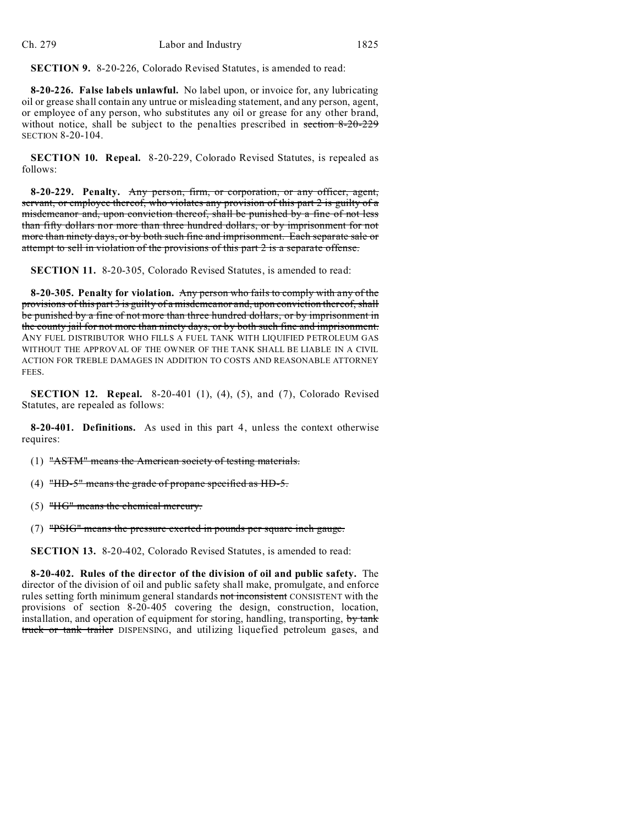**SECTION 9.** 8-20-226, Colorado Revised Statutes, is amended to read:

**8-20-226. False labels unlawful.** No label upon, or invoice for, any lubricating oil or grease shall contain any untrue or misleading statement, and any person, agent, or employee of any person, who substitutes any oil or grease for any other brand, without notice, shall be subject to the penalties prescribed in section 8-20-229 SECTION 8-20-104.

**SECTION 10. Repeal.** 8-20-229, Colorado Revised Statutes, is repealed as follows:

**8-20-229. Penalty.** Any person, firm, or corporation, or any officer, agent, servant, or employee thereof, who violates any provision of this part 2 is guilty of a misdemeanor and, upon conviction thereof, shall be punished by a fine of not less than fifty dollars nor more than three hundred dollars, or by imprisonment for not more than ninety days, or by both such fine and imprisonment. Each separate sale or attempt to sell in violation of the provisions of this part 2 is a separate offense.

**SECTION 11.** 8-20-305, Colorado Revised Statutes, is amended to read:

**8-20-305. Penalty for violation.** Any person who fails to comply with any of the provisions of this part 3 is guilty of a misdemeanor and, upon conviction thereof, shall be punished by a fine of not more than three hundred dollars, or by imprisonment in the county jail for not more than ninety days, or by both such fine and imprisonment. ANY FUEL DISTRIBUTOR WHO FILLS A FUEL TANK WITH LIQUIFIED PETROLEUM GAS WITHOUT THE APPROVAL OF THE OWNER OF THE TANK SHALL BE LIABLE IN A CIVIL ACTION FOR TREBLE DAMAGES IN ADDITION TO COSTS AND REASONABLE ATTORNEY FEES.

**SECTION 12. Repeal.** 8-20-401 (1), (4), (5), and (7), Colorado Revised Statutes, are repealed as follows:

**8-20-401. Definitions.** As used in this part 4, unless the context otherwise requires:

(1) "ASTM" means the American society of testing materials.

(4) " $HD-5$ " means the grade of propane specified as  $HD-5$ .

(5) "HG" means the chemical mercury.

(7) "PSIG" means the pressure exerted in pounds per square inch gauge.

**SECTION 13.** 8-20-402, Colorado Revised Statutes, is amended to read:

**8-20-402. Rules of the director of the division of oil and public safety.** The director of the division of oil and public safety shall make, promulgate, and enforce rules setting forth minimum general standards not inconsistent CONSISTENT with the provisions of section 8-20-405 covering the design, construction, location, installation, and operation of equipment for storing, handling, transporting, by tank truck or tank trailer DISPENSING, and utilizing liquefied petroleum gases, and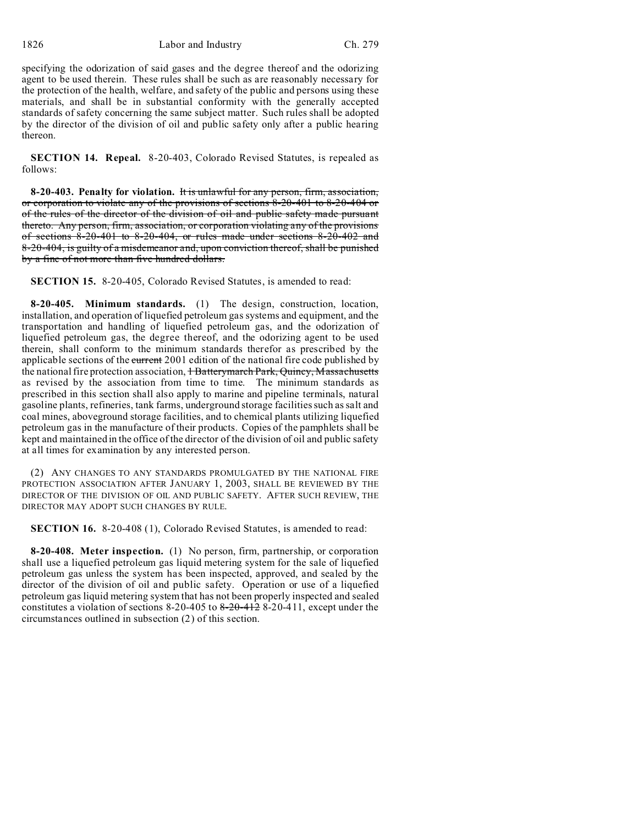1826 Labor and Industry Ch. 279

specifying the odorization of said gases and the degree thereof and the odorizing agent to be used therein. These rules shall be such as are reasonably necessary for the protection of the health, welfare, and safety of the public and persons using these materials, and shall be in substantial conformity with the generally accepted standards of safety concerning the same subject matter. Such rules shall be adopted by the director of the division of oil and public safety only after a public hearing thereon.

**SECTION 14. Repeal.** 8-20-403, Colorado Revised Statutes, is repealed as follows:

**8-20-403. Penalty for violation.** It is unlawful for any person, firm, association, or corporation to violate any of the provisions of sections 8-20-401 to 8-20-404 or of the rules of the director of the division of oil and public safety made pursuant thereto. Any person, firm, association, or corporation violating any of the provisions of sections 8-20-401 to 8-20-404, or rules made under sections 8-20-402 and 8-20-404, is guilty of a misdemeanor and, upon conviction thereof, shall be punished by a fine of not more than five hundred dollars.

**SECTION 15.** 8-20-405, Colorado Revised Statutes, is amended to read:

**8-20-405. Minimum standards.** (1) The design, construction, location, installation, and operation of liquefied petroleum gas systems and equipment, and the transportation and handling of liquefied petroleum gas, and the odorization of liquefied petroleum gas, the degree thereof, and the odorizing agent to be used therein, shall conform to the minimum standards therefor as prescribed by the applicable sections of the current 2001 edition of the national fire code published by the national fire protection association, 1 Batterymarch Park, Quincy, Massachusetts as revised by the association from time to time. The minimum standards as prescribed in this section shall also apply to marine and pipeline terminals, natural gasoline plants, refineries, tank farms, underground storage facilities such as salt and coal mines, aboveground storage facilities, and to chemical plants utilizing liquefied petroleum gas in the manufacture of their products. Copies of the pamphlets shall be kept and maintained in the office of the director of the division of oil and public safety at all times for examination by any interested person.

(2) ANY CHANGES TO ANY STANDARDS PROMULGATED BY THE NATIONAL FIRE PROTECTION ASSOCIATION AFTER JANUARY 1, 2003, SHALL BE REVIEWED BY THE DIRECTOR OF THE DIVISION OF OIL AND PUBLIC SAFETY. AFTER SUCH REVIEW, THE DIRECTOR MAY ADOPT SUCH CHANGES BY RULE.

**SECTION 16.** 8-20-408 (1), Colorado Revised Statutes, is amended to read:

**8-20-408. Meter inspection.** (1) No person, firm, partnership, or corporation shall use a liquefied petroleum gas liquid metering system for the sale of liquefied petroleum gas unless the system has been inspected, approved, and sealed by the director of the division of oil and public safety. Operation or use of a liquefied petroleum gas liquid metering system that has not been properly inspected and sealed constitutes a violation of sections  $8-20-405$  to  $8-20-412$   $8-20-411$ , except under the circumstances outlined in subsection (2) of this section.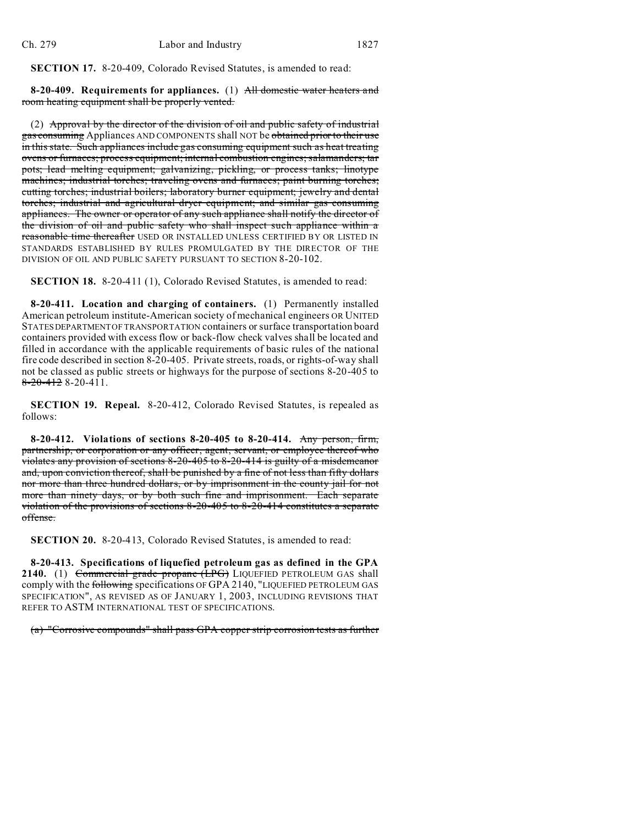**SECTION 17.** 8-20-409, Colorado Revised Statutes, is amended to read:

**8-20-409. Requirements for appliances.** (1) All domestic water heaters and room heating equipment shall be properly vented.

(2) Approval by the director of the division of oil and public safety of industrial gas consuming Appliances AND COMPONENTS shall NOT be obtained prior to their use in this state. Such appliances include gas consuming equipment such as heat treating ovens or furnaces; process equipment; internal combustion engines; salamanders; tar pots; lead melting equipment; galvanizing, pickling, or process tanks; linotype machines; industrial torches; traveling ovens and furnaces; paint burning torches; cutting torches; industrial boilers; laboratory burner equipment; jewelry and dental torches; industrial and agricultural dryer equipment; and similar gas consuming appliances. The owner or operator of any such appliance shall notify the director of the division of oil and public safety who shall inspect such appliance within a reasonable time thereafter USED OR INSTALLED UNLESS CERTIFIED BY OR LISTED IN STANDARDS ESTABLISHED BY RULES PROMULGATED BY THE DIRECTOR OF THE DIVISION OF OIL AND PUBLIC SAFETY PURSUANT TO SECTION 8-20-102.

**SECTION 18.** 8-20-411 (1), Colorado Revised Statutes, is amended to read:

**8-20-411. Location and charging of containers.** (1) Permanently installed American petroleum institute-American society of mechanical engineers OR UNITED STATESDEPARTMENT OF TRANSPORTATION containers or surface transportation board containers provided with excess flow or back-flow check valves shall be located and filled in accordance with the applicable requirements of basic rules of the national fire code described in section 8-20-405. Private streets, roads, or rights-of-way shall not be classed as public streets or highways for the purpose of sections 8-20-405 to  $8-20-4128-20-411$ .

**SECTION 19. Repeal.** 8-20-412, Colorado Revised Statutes, is repealed as follows:

**8-20-412. Violations of sections 8-20-405 to 8-20-414.** Any person, firm, partnership, or corporation or any officer, agent, servant, or employee thereof who violates any provision of sections 8-20-405 to 8-20-414 is guilty of a misdemeanor and, upon conviction thereof, shall be punished by a fine of not less than fifty dollars nor more than three hundred dollars, or by imprisonment in the county jail for not more than ninety days, or by both such fine and imprisonment. Each separate violation of the provisions of sections 8-20-405 to 8-20-414 constitutes a separate offense.

**SECTION 20.** 8-20-413, Colorado Revised Statutes, is amended to read:

**8-20-413. Specifications of liquefied petroleum gas as defined in the GPA 2140.** (1) Commercial grade propane (LPG) LIQUEFIED PETROLEUM GAS shall comply with the following specifications OF GPA 2140, "LIQUEFIED PETROLEUM GAS SPECIFICATION", AS REVISED AS OF JANUARY 1, 2003, INCLUDING REVISIONS THAT REFER TO ASTM INTERNATIONAL TEST OF SPECIFICATIONS.

(a) "Corrosive compounds" shall pass GPA copper strip corrosion tests as further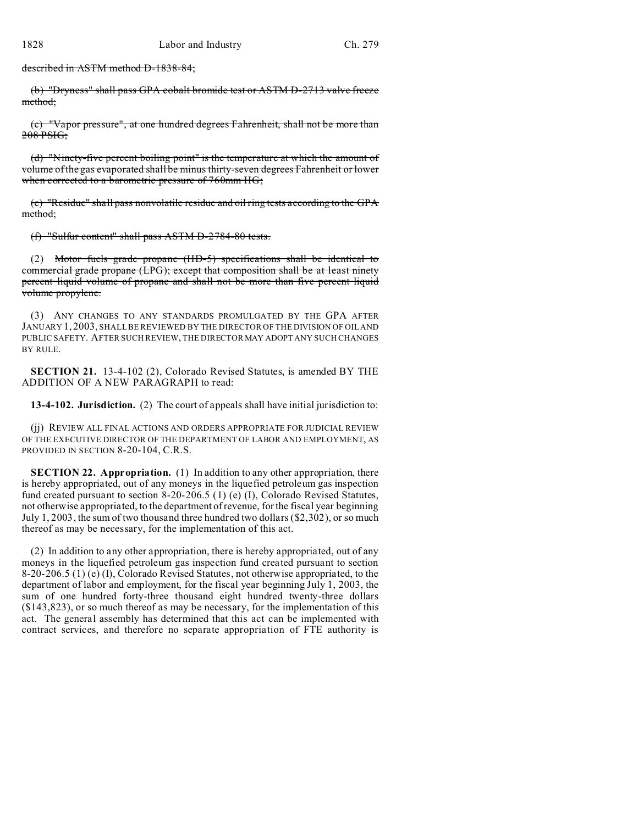described in ASTM method D-1838-84;

(b) "Dryness" shall pass GPA cobalt bromide test or ASTM D-2713 valve freeze method;

(c) "Vapor pressure", at one hundred degrees Fahrenheit, shall not be more than 208 PSIG;

(d) "Ninety-five percent boiling point" is the temperature at which the amount of volume of the gas evaporated shall be minus thirty-seven degrees Fahrenheit or lower when corrected to a barometric pressure of 760mm HG;

(e) "Residue" shall pass nonvolatile residue and oil ring tests according to the GPA method;

(f) "Sulfur content" shall pass ASTM D-2784-80 tests.

(2) Motor fuels grade propane (HD-5) specifications shall be identical to commercial grade propane (LPG); except that composition shall be at least ninety percent liquid volume of propane and shall not be more than five percent liquid volume propylene.

(3) ANY CHANGES TO ANY STANDARDS PROMULGATED BY THE GPA AFTER JANUARY 1, 2003, SHALL BE REVIEWED BY THE DIRECTOR OF THE DIVISION OF OIL AND PUBLIC SAFETY. AFTER SUCH REVIEW, THE DIRECTOR MAY ADOPT ANY SUCH CHANGES BY RULE.

**SECTION 21.** 13-4-102 (2), Colorado Revised Statutes, is amended BY THE ADDITION OF A NEW PARAGRAPH to read:

**13-4-102. Jurisdiction.** (2) The court of appeals shall have initial jurisdiction to:

(jj) REVIEW ALL FINAL ACTIONS AND ORDERS APPROPRIATE FOR JUDICIAL REVIEW OF THE EXECUTIVE DIRECTOR OF THE DEPARTMENT OF LABOR AND EMPLOYMENT, AS PROVIDED IN SECTION 8-20-104, C.R.S.

**SECTION 22. Appropriation.** (1) In addition to any other appropriation, there is hereby appropriated, out of any moneys in the liquefied petroleum gas inspection fund created pursuant to section 8-20-206.5 (1) (e) (I), Colorado Revised Statutes, not otherwise appropriated, to the department of revenue, for the fiscal year beginning July 1, 2003, the sum of two thousand three hundred two dollars (\$2,302), or so much thereof as may be necessary, for the implementation of this act.

(2) In addition to any other appropriation, there is hereby appropriated, out of any moneys in the liquefied petroleum gas inspection fund created pursuant to section 8-20-206.5 (1) (e) (I), Colorado Revised Statutes, not otherwise appropriated, to the department of labor and employment, for the fiscal year beginning July 1, 2003, the sum of one hundred forty-three thousand eight hundred twenty-three dollars (\$143,823), or so much thereof as may be necessary, for the implementation of this act. The general assembly has determined that this act can be implemented with contract services, and therefore no separate appropriation of FTE authority is